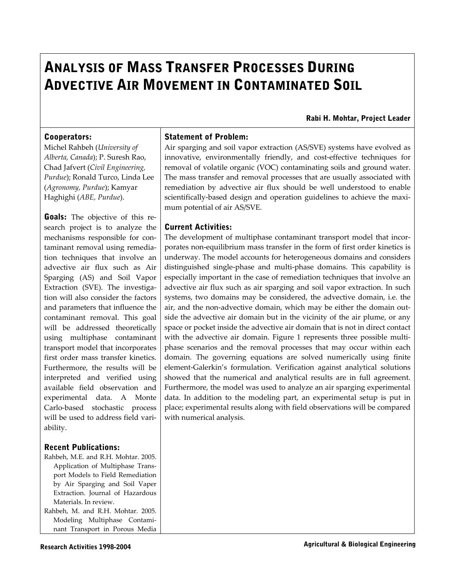# **ANALYSIS OF MASS TRANSFER PROCESSES DURING ADVECTIVE AIR MOVEMENT IN CONTAMINATED SOIL**

**Rabi H. Mohtar, Project Leader**

## **Cooperators:**

Michel Rahbeh (*University of Alberta, Canada*); P. Suresh Rao, Chad Jafvert (*Civil Engineering, Purdue*); Ronald Turco, Linda Lee (*Agronomy, Purdue*); Kamyar Haghighi (*ABE, Purdue*).

**Goals:** The objective of this research project is to analyze the mechanisms responsible for contaminant removal using remedia‐ tion techniques that involve an advective air flux such as Air Sparging (AS) and Soil Vapor Extraction (SVE). The investigation will also consider the factors and parameters that influence the contaminant removal. This goal will be addressed theoretically using multiphase contaminant transport model that incorporates first order mass transfer kinetics. Furthermore, the results will be interpreted and verified using available field observation and experimental data. A Monte Carlo‐based stochastic process will be used to address field vari‐ ability.

## **Recent Publications:**

Rahbeh, M.E. and R.H. Mohtar. 2005. Application of Multiphase Trans‐ port Models to Field Remediation by Air Sparging and Soil Vaper Extraction. Journal of Hazardous Materials. In review. Rahbeh, M. and R.H. Mohtar. 2005.

Modeling Multiphase Contami‐ nant Transport in Porous Media

## **Statement of Problem:**

Air sparging and soil vapor extraction (AS/SVE) systems have evolved as innovative, environmentally friendly, and cost-effective techniques for removal of volatile organic (VOC) contaminating soils and ground water. The mass transfer and removal processes that are usually associated with remediation by advective air flux should be well understood to enable scientifically-based design and operation guidelines to achieve the maximum potential of air AS/SVE.

#### **Current Activities:**

The development of multiphase contaminant transport model that incorporates non‐equilibrium mass transfer in the form of first order kinetics is underway. The model accounts for heterogeneous domains and considers distinguished single‐phase and multi‐phase domains. This capability is especially important in the case of remediation techniques that involve an advective air flux such as air sparging and soil vapor extraction. In such systems, two domains may be considered, the advective domain, i.e. the air, and the non-advective domain, which may be either the domain outside the advective air domain but in the vicinity of the air plume, or any space or pocket inside the advective air domain that is not in direct contact with the advective air domain. Figure 1 represents three possible multiphase scenarios and the removal processes that may occur within each domain. The governing equations are solved numerically using finite element‐Galerkin's formulation. Verification against analytical solutions showed that the numerical and analytical results are in full agreement. Furthermore, the model was used to analyze an air sparging experimental data. In addition to the modeling part, an experimental setup is put in place; experimental results along with field observations will be compared with numerical analysis.